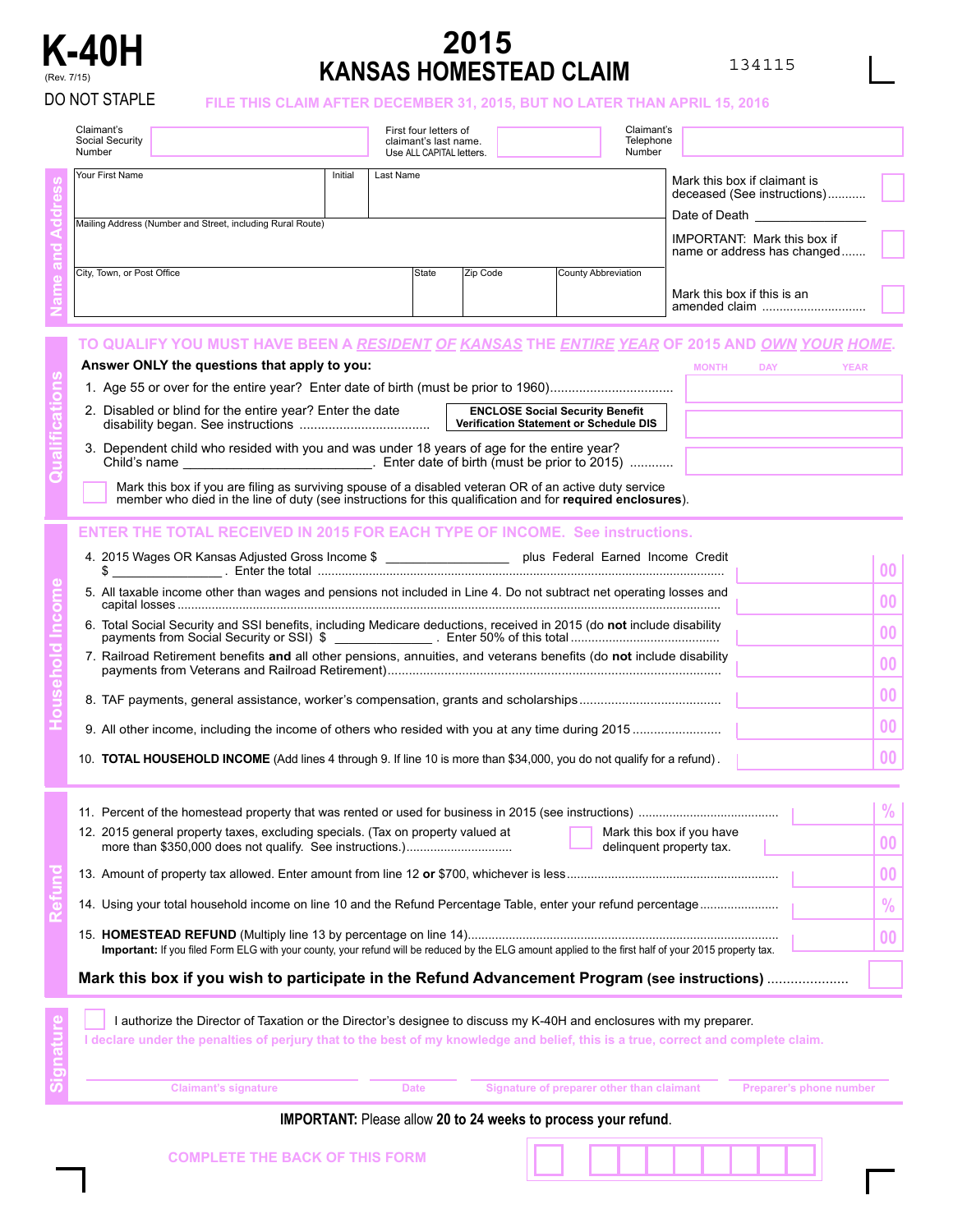

## **K-40H 2015**  (Rev. 7/15) **KANSAS HOMESTEAD CLAIM**

**Signature**

## DO NOT STAPLE **FILE THIS CLAIM AFTER DECEMBER 31, 2015, BUT NO LATER THAN APRIL 15, 2016**

| Claimant's<br>Social Security<br>Number                                                                             |         |           | First four letters of<br>claimant's last name.<br>Use ALL CAPITAL letters. |          |                     | Claimant's<br>Telephone<br>Number |                                                             |  |
|---------------------------------------------------------------------------------------------------------------------|---------|-----------|----------------------------------------------------------------------------|----------|---------------------|-----------------------------------|-------------------------------------------------------------|--|
| Your First Name                                                                                                     | Initial | Last Name |                                                                            |          |                     |                                   | Mark this box if claimant is<br>deceased (See instructions) |  |
| Mailing Address (Number and Street, including Rural Route)                                                          |         |           |                                                                            |          |                     |                                   | Date of Death<br><b>IMPORTANT:</b> Mark this box if         |  |
|                                                                                                                     |         |           |                                                                            |          |                     |                                   | name or address has changed                                 |  |
| City, Town, or Post Office                                                                                          |         |           | State                                                                      | Zip Code | County Abbreviation |                                   |                                                             |  |
|                                                                                                                     |         |           |                                                                            |          |                     |                                   | Mark this box if this is an                                 |  |
| TO QUALIFY YOU MUST HAVE BEEN A <u>RESIDENT OF KANSAS</u> THE <u>ENTIRE YEAR</u> OF 2015 AND <u>OWN YOUR HOME</u> . |         |           |                                                                            |          |                     |                                   |                                                             |  |

| Answer ONLY the questions that apply to you:                                                                                                              | <b>MONTH</b> | <b>DAY</b> | YEAR |
|-----------------------------------------------------------------------------------------------------------------------------------------------------------|--------------|------------|------|
| 1. Age 55 or over for the entire year? Enter date of birth (must be prior to 1960)                                                                        |              |            |      |
| 2. Disabled or blind for the entire year? Enter the date<br><b>ENCLOSE Social Security Benefit</b><br><b>Verification Statement or Schedule DIS</b>       |              |            |      |
| 3. Dependent child who resided with you and was under 18 years of age for the entire year?<br>Enter date of birth (must be prior to 2015)<br>Child's name |              |            |      |
|                                                                                                                                                           |              |            |      |

Mark this box if you are filing as surviving spouse of a disabled veteran OR of an active duty service member who died in the line of duty (see instructions for this qualification and for **required enclosures**).

## **ENTER THE TOTAL RECEIVED IN 2015 FOR EACH TYPE OF INCOME. See instructions.**

| \$  | 4. 2015 Wages OR Kansas Adjusted Gross Income \$<br>plus Federal Earned Income Credit                                 | 00 <sup>1</sup> |
|-----|-----------------------------------------------------------------------------------------------------------------------|-----------------|
|     | 5. All taxable income other than wages and pensions not included in Line 4. Do not subtract net operating losses and  | 00 <sup>1</sup> |
|     | 6. Total Social Security and SSI benefits, including Medicare deductions, received in 2015 (do not include disability | 00 <sup>1</sup> |
|     | 7. Railroad Retirement benefits and all other pensions, annuities, and veterans benefits (do not include disability   | 0 <sup>0</sup>  |
|     |                                                                                                                       | 0 <sup>0</sup>  |
|     |                                                                                                                       | 0 <sup>0</sup>  |
| 10. | TOTAL HOUSEHOLD INCOME (Add lines 4 through 9. If line 10 is more than \$34,000, you do not qualify for a refund).    | 00 <sup>1</sup> |

|                                                                                                                | Mark this box if you wish to participate in the Refund Advancement Program (see instructions)                                                         |                 |  |  |  |
|----------------------------------------------------------------------------------------------------------------|-------------------------------------------------------------------------------------------------------------------------------------------------------|-----------------|--|--|--|
|                                                                                                                | Important: If you filed Form ELG with your county, your refund will be reduced by the ELG amount applied to the first half of your 2015 property tax. | 00              |  |  |  |
| 14. Using your total household income on line 10 and the Refund Percentage Table, enter your refund percentage |                                                                                                                                                       |                 |  |  |  |
|                                                                                                                |                                                                                                                                                       | 00              |  |  |  |
|                                                                                                                | 12. 2015 general property taxes, excluding specials. (Tax on property valued at<br>Mark this box if you have<br>delinquent property tax.              | 00 <sup>1</sup> |  |  |  |
|                                                                                                                |                                                                                                                                                       | $\frac{0}{2}$   |  |  |  |

I authorize the Director of Taxation or the Director's designee to discuss my K-40H and enclosures with my preparer.

**I declare under the penalties of perjury that to the best of my knowledge and belief, this is a true, correct and complete claim.**

| <b>Claimant's signature</b>           | <b>Date</b> | Signature of preparer other than claimant                             | <b>Preparer's phone number</b> |  |  |
|---------------------------------------|-------------|-----------------------------------------------------------------------|--------------------------------|--|--|
|                                       |             | <b>IMPORTANT:</b> Please allow 20 to 24 weeks to process your refund. |                                |  |  |
| <b>COMPLETE THE BACK OF THIS FORM</b> |             |                                                                       |                                |  |  |

|  | <b>COMPLETE THE BACK OF THIS FORM</b> |  |
|--|---------------------------------------|--|
|  |                                       |  |
|  |                                       |  |